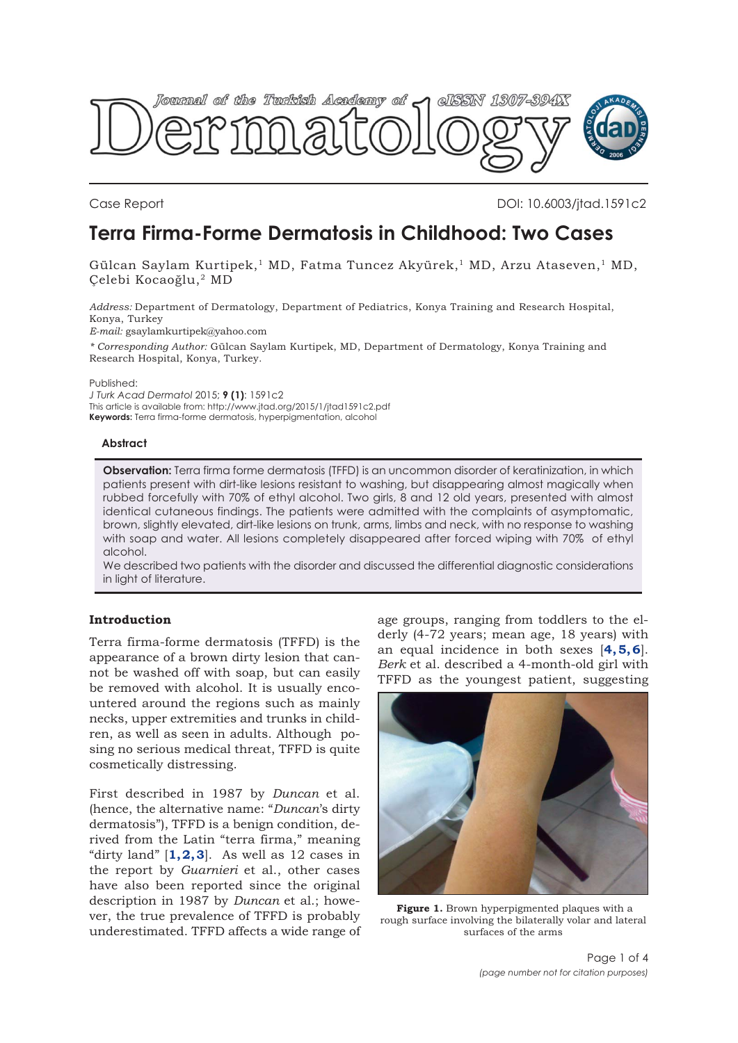<span id="page-0-0"></span>

Case Report DOI: 10.6003/jtad.1591c2

# **Terra Firma-Forme Dermatosis in Childhood: Two Cases**

Gülcan Saylam Kurtipek,<sup>1</sup> MD, Fatma Tuncez Akyürek,<sup>1</sup> MD, Arzu Ataseven,<sup>1</sup> MD, Çelebi Kocaoğlu,2 MD

*Address:* Department of Dermatology, Department of Pediatrics, Konya Training and Research Hospital, Konya, Turkey

*E-mail:* gsaylamkurtipek@yahoo.com

*\* Corresponding Author:* Gülcan Saylam Kurtipek, MD, Department of Dermatology, Konya Training and Research Hospital, Konya, Turkey.

Published:

*J Turk Acad Dermatol* 2015; **9 (1)**: 1591c2 This article is available from: http://www.jtad.org/2015/1/jtad1591c2.pdf **Keywords:** Terra firma-forme dermatosis, hyperpigmentation, alcohol

### **Abstract**

**Observation:** Terra firma forme dermatosis (TFFD) is an uncommon disorder of keratinization, in which patients present with dirt-like lesions resistant to washing, but disappearing almost magically when rubbed forcefully with 70% of ethyl alcohol. Two girls, 8 and 12 old years, presented with almost identical cutaneous findings. The patients were admitted with the complaints of asymptomatic, brown, slightly elevated, dirt-like lesions on trunk, arms, limbs and neck, with no response to washing with soap and water. All lesions completely disappeared after forced wiping with 70% of ethyl alcohol.

We described two patients with the disorder and discussed the differential diagnostic considerations in light of literature.

## **Introduction**

Terra firma-forme dermatosis (TFFD) is the appearance of a brown dirty lesion that cannot be washed off with soap, but can easily be removed with alcohol. It is usually encountered around the regions such as mainly necks, upper extremities and trunks in children, as well as seen in adults. Although posing no serious medical threat, TFFD is quite cosmetically distressing.

First described in 1987 by *Duncan* et al. (hence, the alternative name: "*Duncan*'s dirty dermatosis"), TFFD is a benign condition, derived from the Latin "terra firma," meaning "dirty land"  $[1, 2, 3]$  $[1, 2, 3]$  $[1, 2, 3]$  $[1, 2, 3]$  $[1, 2, 3]$ . As well as 12 cases in the report by *Guarnieri* et al., other cases have also been reported since the original description in 1987 by *Duncan* et al.; however, the true prevalence of TFFD is probably underestimated. TFFD affects a wide range of

age groups, ranging from toddlers to the elderly (4-72 years; mean age, 18 years) with an equal incidence in both sexes [**[4](#page-3-0), [5](#page-3-0), [6](#page-3-0)**]. *Berk* et al. described a 4-month-old girl with TFFD as the youngest patient, suggesting



**Figure 1.** Brown hyperpigmented plaques with a rough surface involving the bilaterally volar and lateral surfaces of the arms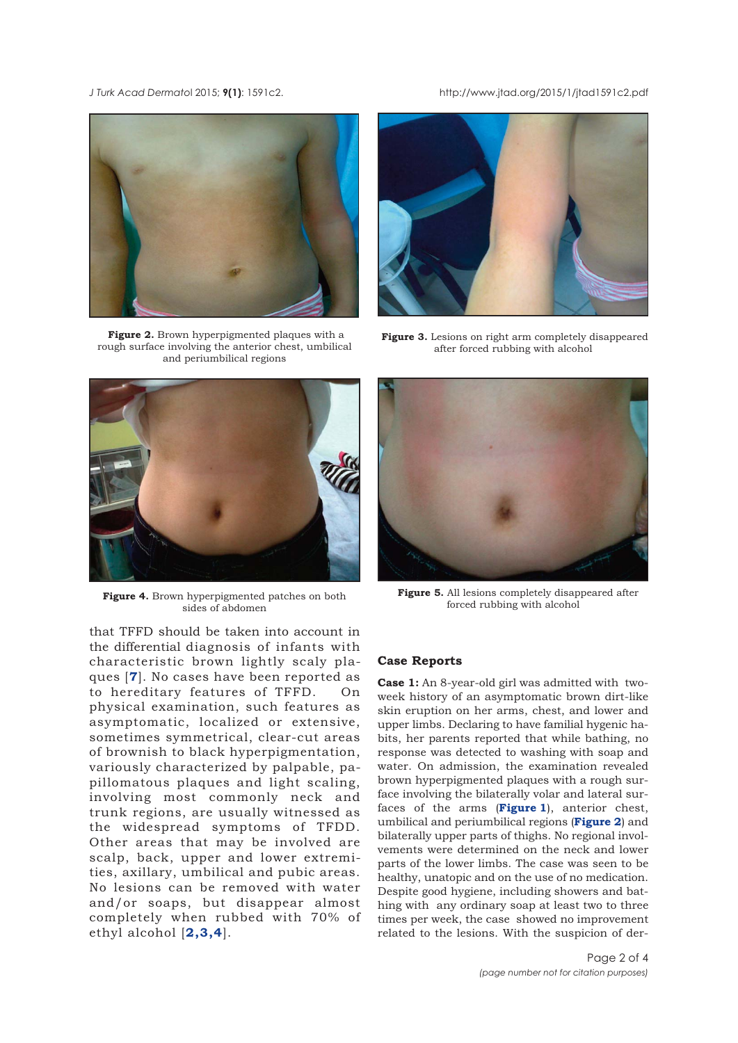<span id="page-1-0"></span>*J Turk Acad Dermato*l 2015; **9(1)**: 1591c2. http://www.jtad.org/2015/1/jtad1591c2.pdf



**Figure 2.** Brown hyperpigmented plaques with a rough surface involving the anterior chest, umbilical and periumbilical regions



**Figure 4.** Brown hyperpigmented patches on both sides of abdomen

that TFFD should be taken into account in the differential diagnosis of infants with characteristic brown lightly scaly plaques [**[7](#page-3-0)**]. No cases have been reported as to hereditary features of TFFD. On physical examination, such features as asymptomatic, localized or extensive, sometimes symmetrical, clear-cut areas of brownish to black hyperpigmentation, variously characterized by palpable, papillomatous plaques and light scaling, involving most commonly neck and trunk regions, are usually witnessed as the widespread symptoms of TFDD. Other areas that may be involved are scalp, back, upper and lower extremities, axillary, umbilical and pubic areas. No lesions can be removed with water and/or soaps, but disappear almost completely when rubbed with 70% of ethyl alcohol [**[2](#page-3-0),[3](#page-3-0),[4](#page-3-0)**].



**Figure 3.** Lesions on right arm completely disappeared after forced rubbing with alcohol



**Figure 5.** All lesions completely disappeared after forced rubbing with alcohol

#### **Case Reports**

**Case 1:** An 8-year-old girl was admitted with twoweek history of an asymptomatic brown dirt-like skin eruption on her arms, chest, and lower and upper limbs. Declaring to have familial hygenic habits, her parents reported that while bathing, no response was detected to washing with soap and water. On admission, the examination revealed brown hyperpigmented plaques with a rough surface involving the bilaterally volar and lateral surfaces of the arms (**[Figure 1](#page-0-0)**), anterior chest, umbilical and periumbilical regions (**Figure 2**) and bilaterally upper parts of thighs. No regional involvements were determined on the neck and lower parts of the lower limbs. The case was seen to be healthy, unatopic and on the use of no medication. Despite good hygiene, including showers and bathing with any ordinary soap at least two to three times per week, the case showed no improvement related to the lesions. With the suspicion of der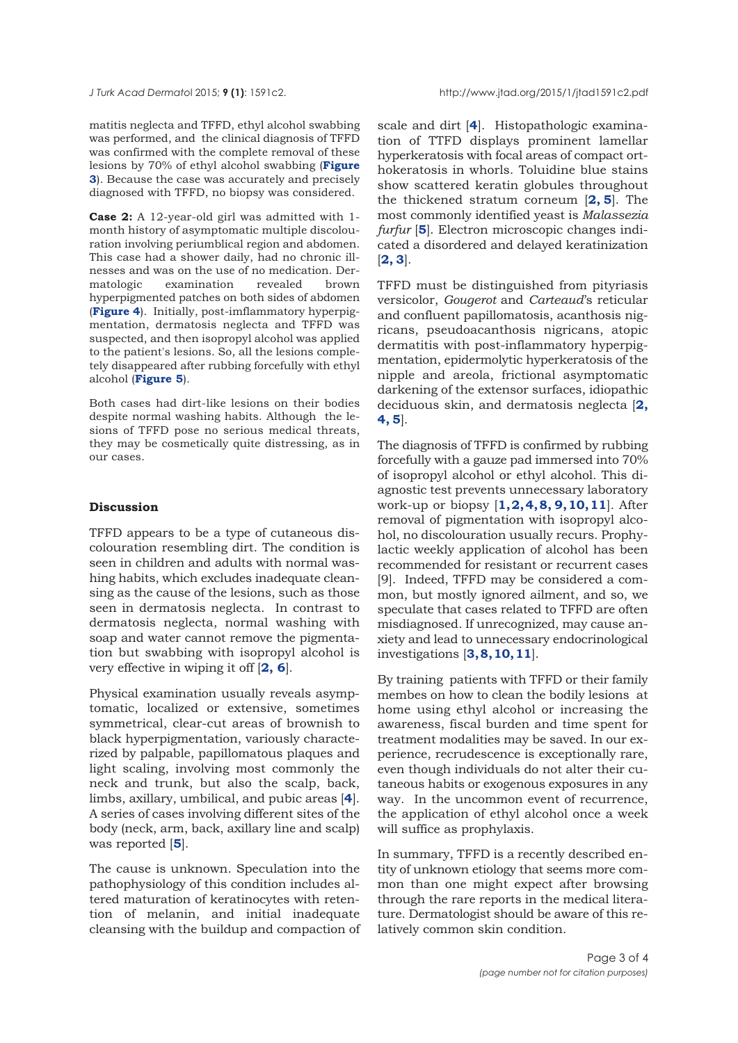matitis neglecta and TFFD, ethyl alcohol swabbing was performed, and the clinical diagnosis of TFFD was confirmed with the complete removal of these lesions by 70% of ethyl alcohol swabbing (**Figure 3**[\). Because the case was accurately and precisely](#page-1-0) diagnosed with TFFD, no biopsy was considered.

**Case 2:** A 12-year-old girl was admitted with 1 month history of asymptomatic multiple discolouration involving periumblical region and abdomen. This case had a shower daily, had no chronic illnesses and was on the use of no medication. Dermatologic examination revealed brown hyperpigmented patches on both sides of abdomen (**[Figure 4](#page-1-0)**). Initially, post-imflammatory hyperpigmentation, dermatosis neglecta and TFFD was suspected, and then isopropyl alcohol was applied to the patient's lesions. So, all the lesions completely disappeared after rubbing forcefully with ethyl alcohol (**[Figure 5](#page-1-0)**).

Both cases had dirt-like lesions on their bodies despite normal washing habits. Although the lesions of TFFD pose no serious medical threats, they may be cosmetically quite distressing, as in our cases.

### **Discussion**

TFFD appears to be a type of cutaneous discolouration resembling dirt. The condition is seen in children and adults with normal washing habits, which excludes inadequate cleansing as the cause of the lesions, such as those seen in dermatosis neglecta. In contrast to dermatosis neglecta, normal washing with soap and water cannot remove the pigmentation but swabbing with isopropyl alcohol is very effective in wiping it off [**[2](#page-3-0), [6](#page-3-0)**].

Physical examination usually reveals asymptomatic, localized or extensive, sometimes symmetrical, clear-cut areas of brownish to black hyperpigmentation, variously characterized by palpable, papillomatous plaques and light scaling, involving most commonly the neck and trunk, but also the scalp, back, limbs, axillary, umbilical, and pubic areas [**[4](#page-3-0)**]. A series of cases involving different sites of the body (neck, arm, back, axillary line and scalp) was reported [**[5](#page-3-0)**].

The cause is unknown. Speculation into the pathophysiology of this condition includes altered maturation of keratinocytes with retention of melanin, and initial inadequate cleansing with the buildup and compaction of

scale and dirt [**[4](#page-3-0)**]. Histopathologic examination of TTFD displays prominent lamellar hyperkeratosis with focal areas of compact orthokeratosis in whorls. Toluidine blue stains show scattered keratin globules throughout the thickened stratum corneum [**[2](#page-3-0), [5](#page-3-0)**]. The most commonly identified yeast is *Malassezia furfur* [**[5](#page-3-0)**]. Electron microscopic changes indicated a disordered and delayed keratinization [**[2, 3](#page-3-0)**].

TFFD must be distinguished from pityriasis versicolor, *Gougerot* and *Carteaud*'s reticular and confluent papillomatosis, acanthosis nigricans, pseudoacanthosis nigricans, atopic dermatitis with post-inflammatory hyperpigmentation, epidermolytic hyperkeratosis of the nipple and areola, frictional asymptomatic darkening of the extensor surfaces, idiopathic deciduous skin, and dermatosis neglecta [**[2,](#page-3-0) [4](#page-3-0), [5](#page-3-0)**].

The diagnosis of TFFD is confirmed by rubbing forcefully with a gauze pad immersed into 70% of isopropyl alcohol or ethyl alcohol. This diagnostic test prevents unnecessary laboratory work-up or biopsy [**[1](#page-3-0), [2, 4, 8, 9](#page-3-0), [10, 11](#page-3-0)**]. After removal of pigmentation with isopropyl alcohol, no discolouration usually recurs. Prophylactic weekly application of alcohol has been recommended for resistant or recurrent cases [9]. Indeed, TFFD may be considered a common, but mostly ignored ailment, and so, we speculate that cases related to TFFD are often misdiagnosed. If unrecognized, may cause anxiety and lead to unnecessary endocrinological investigations [**[3](#page-3-0), 8, [10, 11](#page-3-0)**].

By training patients with TFFD or their family membes on how to clean the bodily lesions at home using ethyl alcohol or increasing the awareness, fiscal burden and time spent for treatment modalities may be saved. In our experience, recrudescence is exceptionally rare, even though individuals do not alter their cutaneous habits or exogenous exposures in any way. In the uncommon event of recurrence, the application of ethyl alcohol once a week will suffice as prophylaxis.

In summary, TFFD is a recently described entity of unknown etiology that seems more common than one might expect after browsing through the rare reports in the medical literature. Dermatologist should be aware of this relatively common skin condition.